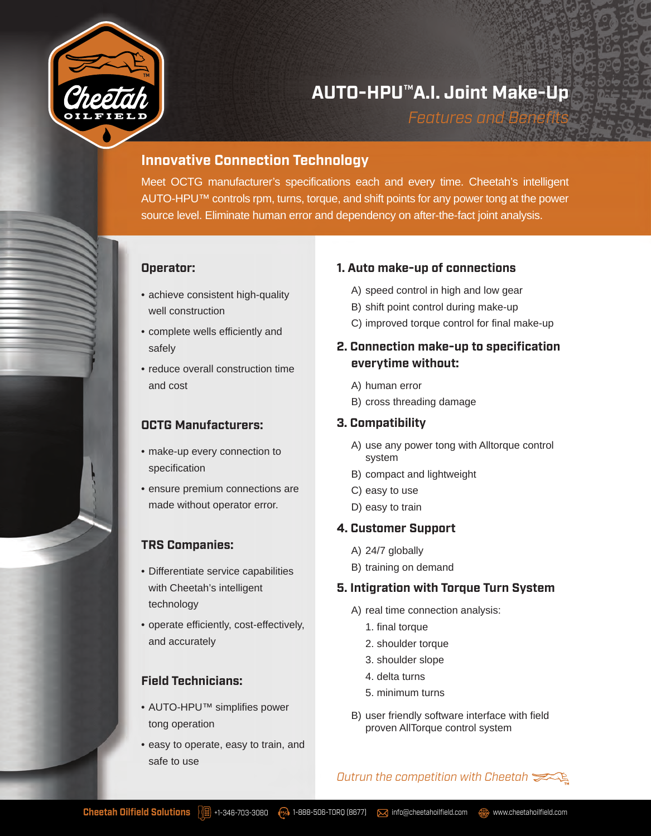

# **AUTO-HPU™A.I. Joint Make-Up**

*Features and Be* 

# **Innovative Connection Technology**

Meet OCTG manufacturer's specifications each and every time. Cheetah's intelligent AUTO-HPU™ controls rpm, turns, torque, and shift points for any power tong at the power source level. Eliminate human error and dependency on after-the-fact joint analysis.

# **Operator:**

- achieve consistent high-quality well construction
- complete wells efficiently and safely
- reduce overall construction time and cost

# **OCTG Manufacturers:**

- make-up every connection to specification
- ensure premium connections are made without operator error.

## **TRS Companies:**

- Differentiate service capabilities with Cheetah's intelligent technology
- operate efficiently, cost-effectively, and accurately

## **Field Technicians:**

- AUTO-HPU™ simplifies power tong operation
- easy to operate, easy to train, and safe to use

## **1. Auto make-up of connections**

- A) speed control in high and low gear
- B) shift point control during make-up
- C) improved torque control for final make-up

# **2. Connection make-up to specification everytime without:**

- A) human error
- B) cross threading damage

# **3. Compatibility**

- A) use any power tong with Alltorque control system
- B) compact and lightweight
- C) easy to use
- D) easy to train

# **4. Customer Support**

- A) 24/7 globally
- B) training on demand

## **5. Intigration with Torque Turn System**

- A) real time connection analysis:
	- 1. final torque
	- 2. shoulder torque
	- 3. shoulder slope
	- 4. delta turns
	- 5. minimum turns
- B) user friendly software interface with field proven AllTorque control system

## *Outrun the competition with Cheetah*